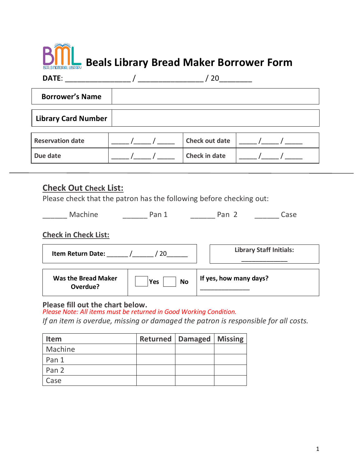# **Beals Library Bread Maker Borrower Form**

| DATE:                      | 20                    |  |
|----------------------------|-----------------------|--|
| <b>Borrower's Name</b>     |                       |  |
| <b>Library Card Number</b> |                       |  |
| <b>Reservation date</b>    | <b>Check out date</b> |  |
| Due date                   | <b>Check in date</b>  |  |

### **Check Out Check List:**

Please check that the patron has the following before checking out:

\_\_\_\_\_\_ Machine \_\_\_\_\_\_\_\_\_\_ Pan 1 \_\_\_\_\_\_\_\_\_ Pan 2 \_\_\_\_\_\_\_\_\_ Case

#### **Check in Check List:**

| <b>Item Return Date:</b>               |                  | <b>Library Staff Initials:</b> |
|----------------------------------------|------------------|--------------------------------|
| <b>Was the Bread Maker</b><br>Overdue? | <b>No</b><br>Yes | If yes, how many days?         |

#### **Please fill out the chart below.**

*Please Note: All items must be returned in Good Working Condition.* 

*If an item is overdue, missing or damaged the patron is responsible for all costs.* 

| <b>Item</b> | <b>Returned   Damaged   Missing</b> |  |
|-------------|-------------------------------------|--|
| Machine     |                                     |  |
| Pan 1       |                                     |  |
| Pan 2       |                                     |  |
| Case        |                                     |  |